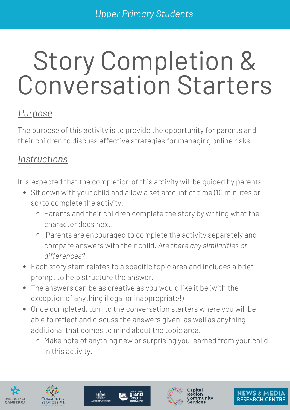# Story Completion & Conversation Starters

#### *Purpose*

The purpose of this activity is to provide the opportunity for parents and their children to discuss effective strategies for managing online risks.

#### *Instructions*

It is expected that the completion of this activity will be guided by parents.

- Sit down with your child and allow a set amount of time (10 minutes or so) to complete the activity.
	- o Parents and their children complete the story by writing what the character does next.
	- Parents are encouraged to complete the activity separately and compare answers with their child. *Are there any similarities or differences?*
- Each story stem relates to a specific topic area and includes a brief prompt to help structure the answer.
- The answers can be as creative as you would like it be (with the exception of anything illegal or inappropriate!)
- Once completed, turn to the conversation starters where you will be able to reflect and discuss the answers given, as well as anything additional that comes to mind about the topic area.
	- o Make note of anything new or surprising you learned from your child in this activity.









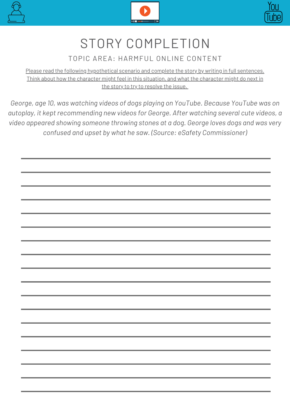





#### TOPIC AREA: HARMFUL ONLINE CONTENT

Please read the following hypothetical scenario and complete the story by writing in full sentences. Think about how the character might feel in this situation, and what the character might do next in the story to try to resolve the issue.

*George, age 10, was watching videos of dogs playing on YouTube. Because YouTube was on autoplay, it kept recommending new videos for George. After watching several cute videos, a video appeared showing someone throwing stones at a dog. George loves dogs and was very confused and upset by what he saw. (Source: eSafety Commissioner)*

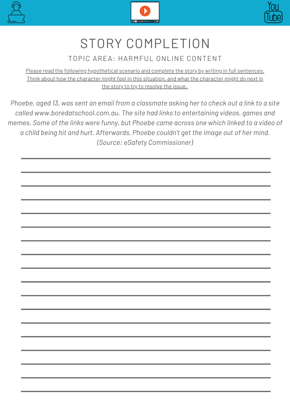





#### TOPIC AREA: HARMFUL ONLINE CONTENT

Please read the following hypothetical scenario and complete the story by writing in full sentences. Think about how the character might feel in this situation, and what the character might do next in the story to try to resolve the issue.

Phoebe, aged 13, was sent an email from a classmate asking her to check out a link to a site *called www.boredatschool.com.au. The site had links to entertaining videos, games and memes. Some of the links were funny, but Phoebe came across one which linked to a video of a child being hit and hurt. Afterwards, Phoebe couldn't get the image out of her mind. (Source: eSafety Commissioner)*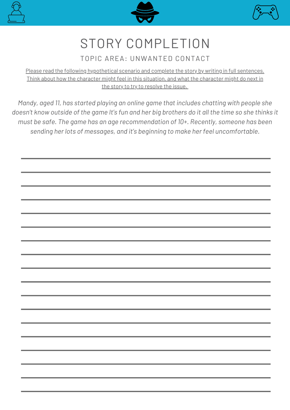





#### TOPIC AREA: UNWANTED CONTACT

Please read the following hypothetical scenario and complete the story by writing in full sentences. Think about how the character might feel in this situation, and what the character might do next in the story to try to resolve the issue.

*Mandy, aged 11, has started playing an online game that includes chatting with people she* doesn't know outside of the game It's fun and her big brothers do it all the time so she thinks it *must be safe. The game has an age recommendation of 10+. Recently, someone has been sending her lots of messages, and it's beginning to make her feel uncomfortable.*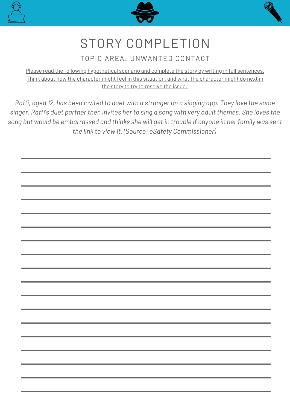





#### TOPIC AREA: UNWANTED CONTACT

Please read the following hypothetical scenario and complete the story by writing in full sentences. Think about how the character might feel in this situation, and what the character might do next in the story to try to resolve the issue.

Raffi, aged 12, has been invited to duet with a stranger on a singing app. They love the same *singer. Raffi's duet partner then invites her to sing a song with very adult themes. She loves the* song but would be embarrassed and thinks she will get in trouble if anyone in her family was sent *the link to view it. (Source: eSafety Commissioner)*